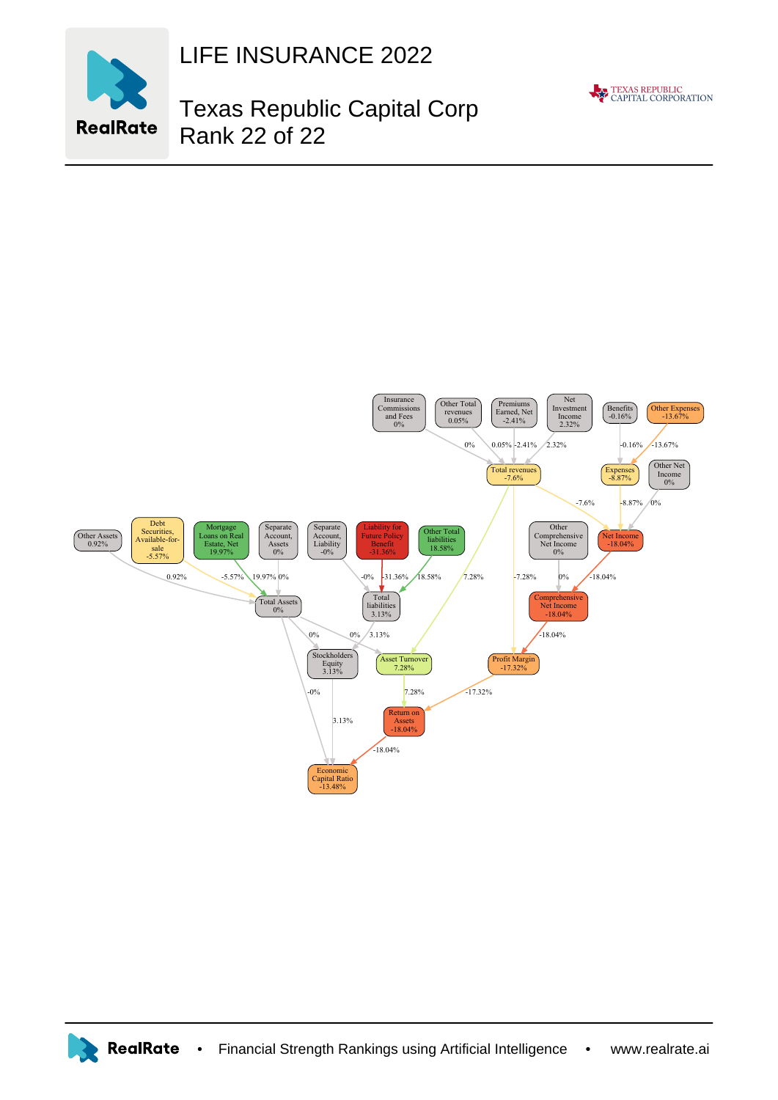

LIFE INSURANCE 2022

## Texas Republic Capital Corp Rank 22 of 22